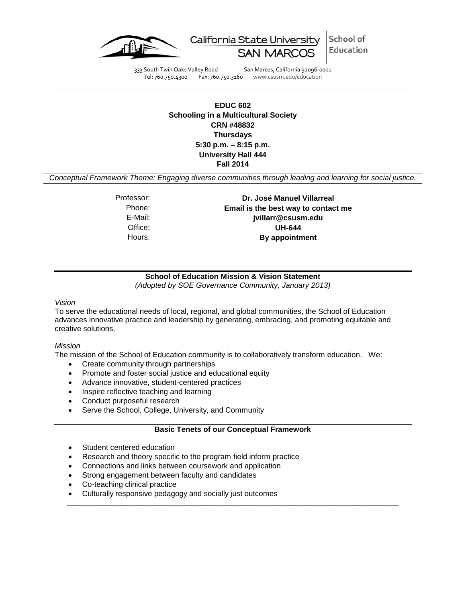

School of California State University Education SAN<sub>N</sub>

333 South Twin Oaks Valley Road San Marcos, California 92096-0001 Tel: 760.750.4300 Fax: 760.750.3160 www.csusm.edu/education

# **EDUC 602 Schooling in a Multicultural Society CRN #48832 Thursdays 5:30 p.m. – 8:15 p.m. University Hall 444 Fall 2014**

*Conceptual Framework Theme: Engaging diverse communities through leading and learning for social justice.*

Professor: **Dr. José Manuel Villarreal** Phone: **Email is the best way to contact me** E-Mail: **jvillarr@csusm.edu** Office: **UH-644** Hours: **By appointment**

**School of Education Mission & Vision Statement** *(Adopted by SOE Governance Community, January 2013)*

#### *Vision*

To serve the educational needs of local, regional, and global communities, the School of Education advances innovative practice and leadership by generating, embracing, and promoting equitable and creative solutions.

#### *Mission*

The mission of the School of Education community is to collaboratively transform education. We:

- Create community through partnerships
- Promote and foster social justice and educational equity
- Advance innovative, student-centered practices
- Inspire reflective teaching and learning
- Conduct purposeful research
- Serve the School, College, University, and Community

## **Basic Tenets of our Conceptual Framework**

\_\_\_\_\_\_\_\_\_\_\_\_\_\_\_\_\_\_\_\_\_\_\_\_\_\_\_\_\_\_\_\_\_\_\_\_\_\_\_\_\_\_\_\_\_\_\_\_\_\_\_\_\_\_\_\_\_\_\_\_\_\_\_\_\_\_\_\_\_\_\_\_\_\_\_\_\_\_\_

- Student centered education
- Research and theory specific to the program field inform practice
- Connections and links between coursework and application
- Strong engagement between faculty and candidates
- Co-teaching clinical practice
- Culturally responsive pedagogy and socially just outcomes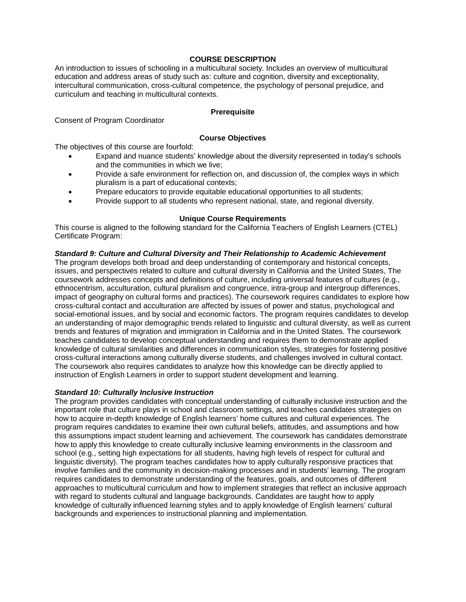### **COURSE DESCRIPTION**

An introduction to issues of schooling in a multicultural society. Includes an overview of multicultural education and address areas of study such as: culture and cognition, diversity and exceptionality, intercultural communication, cross-cultural competence, the psychology of personal prejudice, and curriculum and teaching in multicultural contexts.

#### **Prerequisite**

Consent of Program Coordinator

### **Course Objectives**

The objectives of this course are fourfold:

- Expand and nuance students' knowledge about the diversity represented in today's schools and the communities in which we live;
- Provide a safe environment for reflection on, and discussion of, the complex ways in which pluralism is a part of educational contexts;
- Prepare educators to provide equitable educational opportunities to all students;
- Provide support to all students who represent national, state, and regional diversity.

## **Unique Course Requirements**

This course is aligned to the following standard for the California Teachers of English Learners (CTEL) Certificate Program:

## *Standard 9: Culture and Cultural Diversity and Their Relationship to Academic Achievement*

The program develops both broad and deep understanding of contemporary and historical concepts, issues, and perspectives related to culture and cultural diversity in California and the United States, The coursework addresses concepts and definitions of culture, including universal features of cultures (e.g., ethnocentrism, acculturation, cultural pluralism and congruence, intra-group and intergroup differences, impact of geography on cultural forms and practices). The coursework requires candidates to explore how cross-cultural contact and acculturation are affected by issues of power and status, psychological and social-emotional issues, and by social and economic factors. The program requires candidates to develop an understanding of major demographic trends related to linguistic and cultural diversity, as well as current trends and features of migration and immigration in California and in the United States. The coursework teaches candidates to develop conceptual understanding and requires them to demonstrate applied knowledge of cultural similarities and differences in communication styles, strategies for fostering positive cross-cultural interactions among culturally diverse students, and challenges involved in cultural contact. The coursework also requires candidates to analyze how this knowledge can be directly applied to instruction of English Learners in order to support student development and learning.

#### *Standard 10: Culturally Inclusive Instruction*

The program provides candidates with conceptual understanding of culturally inclusive instruction and the important role that culture plays in school and classroom settings, and teaches candidates strategies on how to acquire in-depth knowledge of English learners' home cultures and cultural experiences. The program requires candidates to examine their own cultural beliefs, attitudes, and assumptions and how this assumptions impact student learning and achievement. The coursework has candidates demonstrate how to apply this knowledge to create culturally inclusive learning environments in the classroom and school (e.g., setting high expectations for all students, having high levels of respect for cultural and linguistic diversity). The program teaches candidates how to apply culturally responsive practices that involve families and the community in decision-making processes and in students' learning. The program requires candidates to demonstrate understanding of the features, goals, and outcomes of different approaches to multicultural curriculum and how to implement strategies that reflect an inclusive approach with regard to students cultural and language backgrounds. Candidates are taught how to apply knowledge of culturally influenced learning styles and to apply knowledge of English learners' cultural backgrounds and experiences to instructional planning and implementation.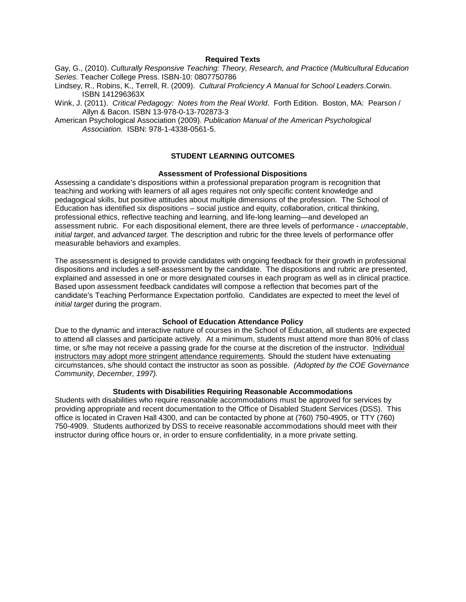#### **Required Texts**

Gay, G., (2010). *Culturally Responsive Teaching: Theory, Research, and Practice (Multicultural Education Series.* Teacher College Press. ISBN-10: 0807750786

Lindsey, R., Robins, K., Terrell, R. (2009). *Cultural Proficiency A Manual for School Leaders*.Corwin. ISBN 141296363X

Wink, J. (2011). *Critical Pedagogy: Notes from the Real World*. Forth Edition. Boston, MA: Pearson / Allyn & Bacon. ISBN 13-978-0-13-702873-3

American Psychological Association (2009). *Publication Manual of the American Psychological Association.* ISBN: 978-1-4338-0561-5.

# **STUDENT LEARNING OUTCOMES**

#### **Assessment of Professional Dispositions**

Assessing a candidate's dispositions within a professional preparation program is recognition that teaching and working with learners of all ages requires not only specific content knowledge and pedagogical skills, but positive attitudes about multiple dimensions of the profession. The School of Education has identified six dispositions – social justice and equity, collaboration, critical thinking, professional ethics, reflective teaching and learning, and life-long learning—and developed an assessment rubric. For each dispositional element, there are three levels of performance - *unacceptable*, *initial target*, and *advanced target*. The description and rubric for the three levels of performance offer measurable behaviors and examples.

The assessment is designed to provide candidates with ongoing feedback for their growth in professional dispositions and includes a self-assessment by the candidate. The dispositions and rubric are presented, explained and assessed in one or more designated courses in each program as well as in clinical practice. Based upon assessment feedback candidates will compose a reflection that becomes part of the candidate's Teaching Performance Expectation portfolio. Candidates are expected to meet the level of *initial target* during the program.

#### **School of Education Attendance Policy**

Due to the dynamic and interactive nature of courses in the School of Education, all students are expected to attend all classes and participate actively. At a minimum, students must attend more than 80% of class time, or s/he may not receive a passing grade for the course at the discretion of the instructor. Individual instructors may adopt more stringent attendance requirements. Should the student have extenuating circumstances, s/he should contact the instructor as soon as possible. *(Adopted by the COE Governance Community, December, 1997).*

#### **Students with Disabilities Requiring Reasonable Accommodations**

Students with disabilities who require reasonable accommodations must be approved for services by providing appropriate and recent documentation to the Office of Disabled Student Services (DSS). This office is located in Craven Hall 4300, and can be contacted by phone at (760) 750-4905, or TTY (760) 750-4909. Students authorized by DSS to receive reasonable accommodations should meet with their instructor during office hours or, in order to ensure confidentiality, in a more private setting.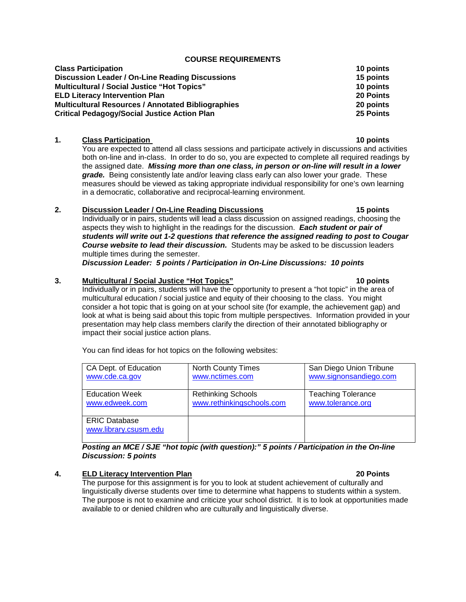#### **COURSE REQUIREMENTS**

| <b>Class Participation</b>                                | 10 points        |
|-----------------------------------------------------------|------------------|
| Discussion Leader / On-Line Reading Discussions           | 15 points        |
| <b>Multicultural / Social Justice "Hot Topics"</b>        | 10 points        |
| <b>ELD Literacy Intervention Plan</b>                     | <b>20 Points</b> |
| <b>Multicultural Resources / Annotated Bibliographies</b> | 20 points        |
| <b>Critical Pedagogy/Social Justice Action Plan</b>       | 25 Points        |

#### **1. Class Participation 10 points**

You are expected to attend all class sessions and participate actively in discussions and activities both on-line and in-class. In order to do so, you are expected to complete all required readings by the assigned date. *Missing more than one class, in person or on-line will result in a lower grade.* Being consistently late and/or leaving class early can also lower your grade. These measures should be viewed as taking appropriate individual responsibility for one's own learning in a democratic, collaborative and reciprocal-learning environment.

## **2. Discussion Leader / On-Line Reading Discussions 15 points**

Individually or in pairs, students will lead a class discussion on assigned readings, choosing the aspects they wish to highlight in the readings for the discussion. *Each student or pair of students will write out 1-2 questions that reference the assigned reading to post to Cougar Course website to lead their discussion.* Students may be asked to be discussion leaders multiple times during the semester.

*Discussion Leader: 5 points / Participation in On-Line Discussions: 10 points*

#### **3. Multicultural / Social Justice "Hot Topics" 10 points**

Individually or in pairs, students will have the opportunity to present a "hot topic" in the area of multicultural education / social justice and equity of their choosing to the class. You might consider a hot topic that is going on at your school site (for example, the achievement gap) and look at what is being said about this topic from multiple perspectives. Information provided in your presentation may help class members clarify the direction of their annotated bibliography or impact their social justice action plans.

You can find ideas for hot topics on the following websites:

| CA Dept. of Education                         | <b>North County Times</b> | San Diego Union Tribune   |
|-----------------------------------------------|---------------------------|---------------------------|
| www.cde.ca.gov                                | www.nctimes.com           | www.signonsandiego.com    |
| <b>Education Week</b>                         | <b>Rethinking Schools</b> | <b>Teaching Tolerance</b> |
| www.edweek.com                                | www.rethinkingschools.com | www.tolerance.org         |
| <b>ERIC Database</b><br>www.library.csusm.edu |                           |                           |

## *Posting an MCE / SJE "hot topic (with question):" 5 points / Participation in the On-line Discussion: 5 points*

#### **4. ELD Literacy Intervention Plan 20 Points**

The purpose for this assignment is for you to look at student achievement of culturally and linguistically diverse students over time to determine what happens to students within a system. The purpose is not to examine and criticize your school district. It is to look at opportunities made available to or denied children who are culturally and linguistically diverse.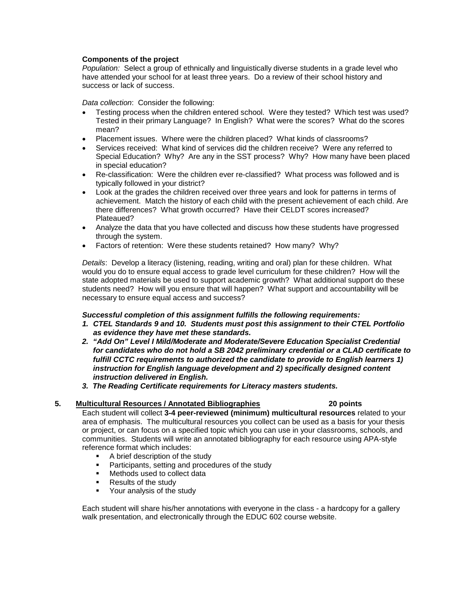### **Components of the project**

*Population:* Select a group of ethnically and linguistically diverse students in a grade level who have attended your school for at least three years. Do a review of their school history and success or lack of success.

*Data collection*: Consider the following:

- Testing process when the children entered school. Were they tested? Which test was used? Tested in their primary Language? In English? What were the scores? What do the scores mean?
- Placement issues. Where were the children placed? What kinds of classrooms?
- Services received: What kind of services did the children receive? Were any referred to Special Education? Why? Are any in the SST process? Why? How many have been placed in special education?
- Re-classification: Were the children ever re-classified? What process was followed and is typically followed in your district?
- Look at the grades the children received over three years and look for patterns in terms of achievement. Match the history of each child with the present achievement of each child. Are there differences? What growth occurred? Have their CELDT scores increased? Plateaued?
- Analyze the data that you have collected and discuss how these students have progressed through the system.
- Factors of retention: Were these students retained? How many? Why?

*Details*: Develop a literacy (listening, reading, writing and oral) plan for these children. What would you do to ensure equal access to grade level curriculum for these children? How will the state adopted materials be used to support academic growth? What additional support do these students need? How will you ensure that will happen? What support and accountability will be necessary to ensure equal access and success?

#### *Successful completion of this assignment fulfills the following requirements:*

- *1. CTEL Standards 9 and 10. Students must post this assignment to their CTEL Portfolio as evidence they have met these standards.*
- *2. "Add On" Level I Mild/Moderate and Moderate/Severe Education Specialist Credential for candidates who do not hold a SB 2042 preliminary credential or a CLAD certificate to* fulfill CCTC requirements to authorized the candidate to provide to English learners 1) *instruction for English language development and 2) specifically designed content instruction delivered in English.*
- *3. The Reading Certificate requirements for Literacy masters students.*

# **5. Multicultural Resources / Annotated Bibliographies 20 points**

Each student will collect **3-4 peer-reviewed (minimum) multicultural resources** related to your area of emphasis. The multicultural resources you collect can be used as a basis for your thesis or project, or can focus on a specified topic which you can use in your classrooms, schools, and communities. Students will write an annotated bibliography for each resource using APA-style reference format which includes:

- **A brief description of the study**
- **Participants, setting and procedures of the study**
- **Methods used to collect data**
- Results of the study
- **•** Your analysis of the study

Each student will share his/her annotations with everyone in the class - a hardcopy for a gallery walk presentation, and electronically through the EDUC 602 course website.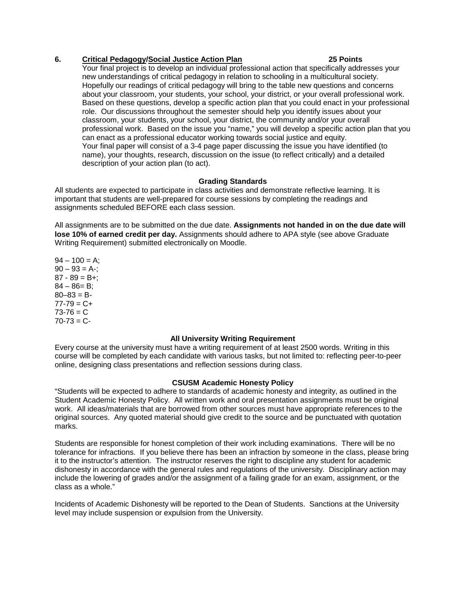### **6. Critical Pedagogy/Social Justice Action Plan 25 Points**

Your final project is to develop an individual professional action that specifically addresses your new understandings of critical pedagogy in relation to schooling in a multicultural society. Hopefully our readings of critical pedagogy will bring to the table new questions and concerns about your classroom, your students, your school, your district, or your overall professional work. Based on these questions, develop a specific action plan that you could enact in your professional role. Our discussions throughout the semester should help you identify issues about your classroom, your students, your school, your district, the community and/or your overall professional work. Based on the issue you "name," you will develop a specific action plan that you can enact as a professional educator working towards social justice and equity. Your final paper will consist of a 3-4 page paper discussing the issue you have identified (to name), your thoughts, research, discussion on the issue (to reflect critically) and a detailed description of your action plan (to act).

## **Grading Standards**

All students are expected to participate in class activities and demonstrate reflective learning. It is important that students are well-prepared for course sessions by completing the readings and assignments scheduled BEFORE each class session.

All assignments are to be submitted on the due date. **Assignments not handed in on the due date will lose 10% of earned credit per day.** Assignments should adhere to APA style (see above Graduate Writing Requirement) submitted electronically on Moodle.

 $94 - 100 = A$ ;  $90 - 93 = A$ -:  $87 - 89 = B +$ ;  $84 - 86 = B$ :  $80 - 83 = B$  $77-79 = C +$  $73 - 76 = C$  $70-73 = C -$ 

#### **All University Writing Requirement**

Every course at the university must have a writing requirement of at least 2500 words. Writing in this course will be completed by each candidate with various tasks, but not limited to: reflecting peer-to-peer online, designing class presentations and reflection sessions during class.

#### **CSUSM Academic Honesty Policy**

"Students will be expected to adhere to standards of academic honesty and integrity, as outlined in the Student Academic Honesty Policy. All written work and oral presentation assignments must be original work. All ideas/materials that are borrowed from other sources must have appropriate references to the original sources. Any quoted material should give credit to the source and be punctuated with quotation marks.

Students are responsible for honest completion of their work including examinations. There will be no tolerance for infractions. If you believe there has been an infraction by someone in the class, please bring it to the instructor's attention. The instructor reserves the right to discipline any student for academic dishonesty in accordance with the general rules and regulations of the university. Disciplinary action may include the lowering of grades and/or the assignment of a failing grade for an exam, assignment, or the class as a whole."

Incidents of Academic Dishonesty will be reported to the Dean of Students. Sanctions at the University level may include suspension or expulsion from the University.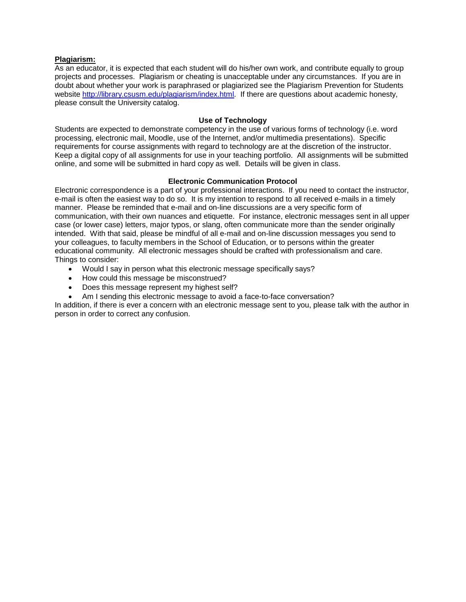#### **Plagiarism:**

As an educator, it is expected that each student will do his/her own work, and contribute equally to group projects and processes. Plagiarism or cheating is unacceptable under any circumstances. If you are in doubt about whether your work is paraphrased or plagiarized see the Plagiarism Prevention for Students website [http://library.csusm.edu/plagiarism/index.html.](http://library.csusm.edu/plagiarism/index.html) If there are questions about academic honesty, please consult the University catalog.

#### **Use of Technology**

Students are expected to demonstrate competency in the use of various forms of technology (i.e. word processing, electronic mail, Moodle, use of the Internet, and/or multimedia presentations). Specific requirements for course assignments with regard to technology are at the discretion of the instructor. Keep a digital copy of all assignments for use in your teaching portfolio. All assignments will be submitted online, and some will be submitted in hard copy as well. Details will be given in class.

#### **Electronic Communication Protocol**

Electronic correspondence is a part of your professional interactions. If you need to contact the instructor, e-mail is often the easiest way to do so. It is my intention to respond to all received e-mails in a timely manner. Please be reminded that e-mail and on-line discussions are a very specific form of communication, with their own nuances and etiquette. For instance, electronic messages sent in all upper case (or lower case) letters, major typos, or slang, often communicate more than the sender originally intended. With that said, please be mindful of all e-mail and on-line discussion messages you send to your colleagues, to faculty members in the School of Education, or to persons within the greater educational community. All electronic messages should be crafted with professionalism and care. Things to consider:

- Would I say in person what this electronic message specifically says?
- How could this message be misconstrued?
- Does this message represent my highest self?
- Am I sending this electronic message to avoid a face-to-face conversation?

In addition, if there is ever a concern with an electronic message sent to you, please talk with the author in person in order to correct any confusion.